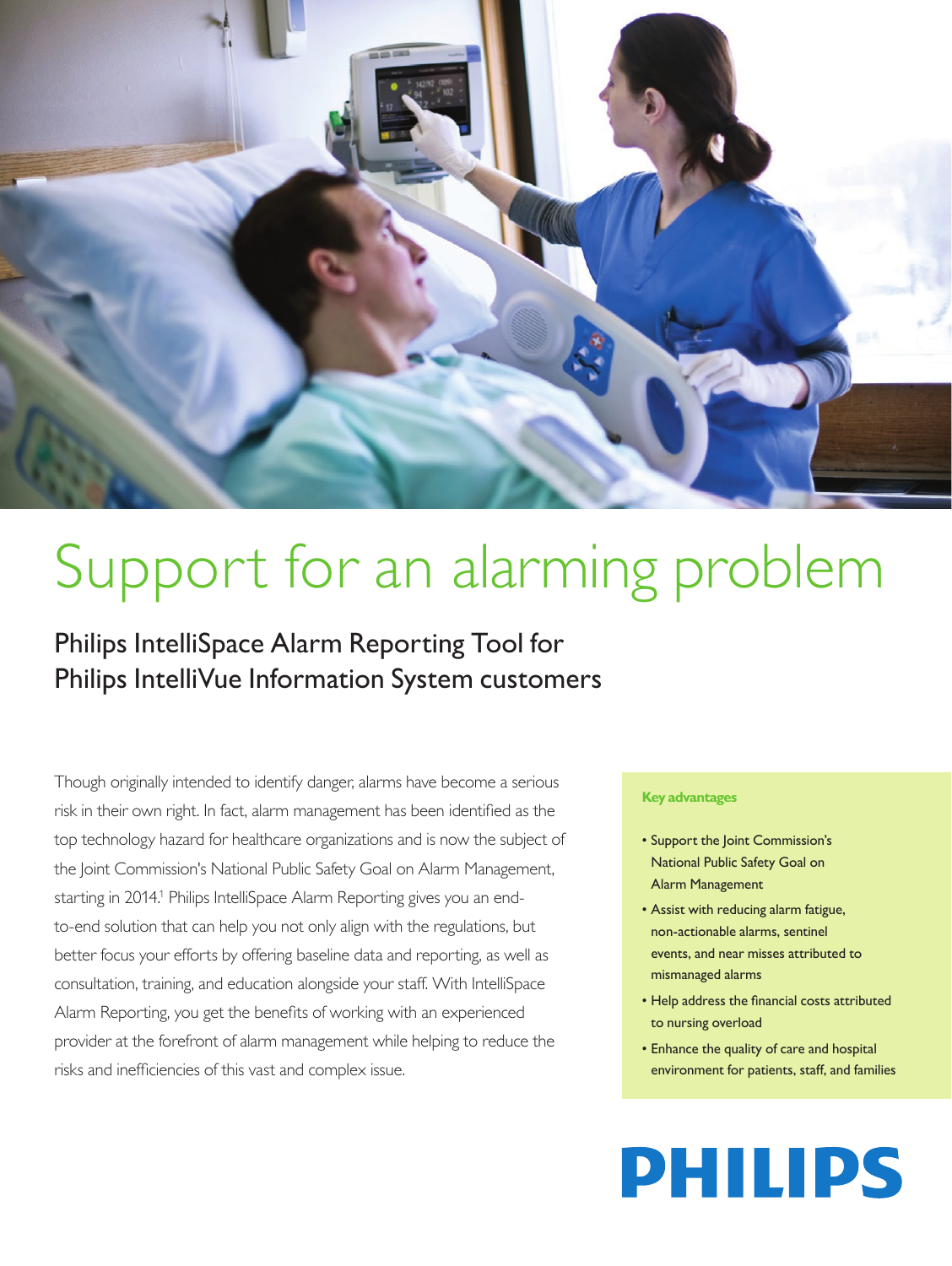

# Support for an alarming problem

Philips IntelliSpace Alarm Reporting Tool for Philips IntelliVue Information System customers

Though originally intended to identify danger, alarms have become a serious risk in their own right. In fact, alarm management has been identified as the top technology hazard for healthcare organizations and is now the subject of the Joint Commission's National Public Safety Goal on Alarm Management, starting in 2014.<sup>1</sup> Philips IntelliSpace Alarm Reporting gives you an endto-end solution that can help you not only align with the regulations, but better focus your efforts by offering baseline data and reporting, as well as consultation, training, and education alongside your staff. With IntelliSpace Alarm Reporting, you get the benefits of working with an experienced provider at the forefront of alarm management while helping to reduce the risks and inefficiencies of this vast and complex issue.

#### **Key advantages**

- Support the Joint Commission's National Public Safety Goal on Alarm Management
- Assist with reducing alarm fatigue, non‑actionable alarms, sentinel events, and near misses attributed to mismanaged alarms
- Help address the financial costs attributed to nursing overload
- Enhance the quality of care and hospital environment for patients, staff, and families

# **PHILIPS**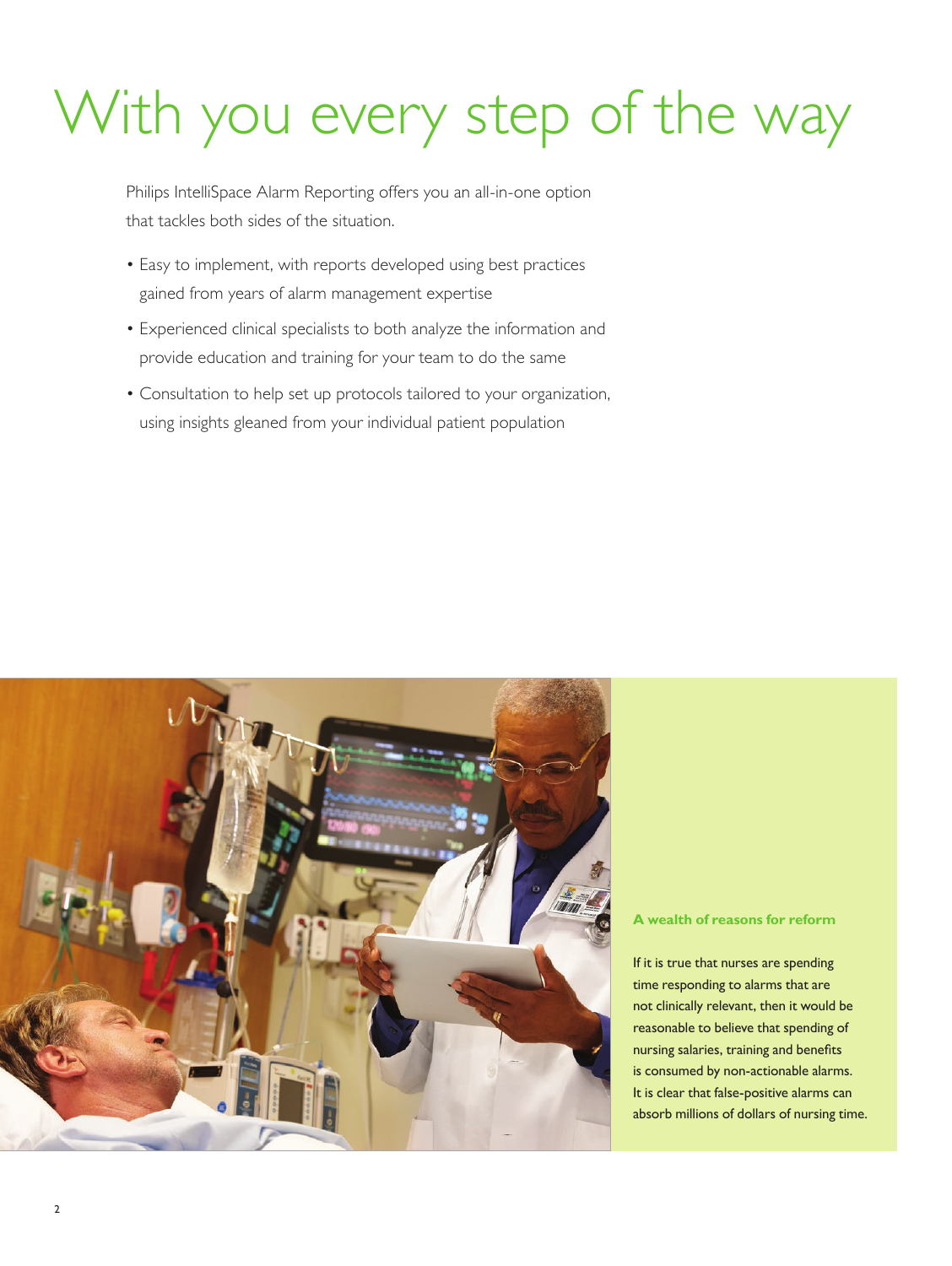# With you every step of the way

Philips IntelliSpace Alarm Reporting offers you an all-in-one option that tackles both sides of the situation.

- Easy to implement, with reports developed using best practices gained from years of alarm management expertise
- Experienced clinical specialists to both analyze the information and provide education and training for your team to do the same
- Consultation to help set up protocols tailored to your organization, using insights gleaned from your individual patient population



### **A wealth of reasons for reform**

If it is true that nurses are spending time responding to alarms that are not clinically relevant, then it would be reasonable to believe that spending of nursing salaries, training and benefits is consumed by non-actionable alarms. It is clear that false-positive alarms can absorb millions of dollars of nursing time.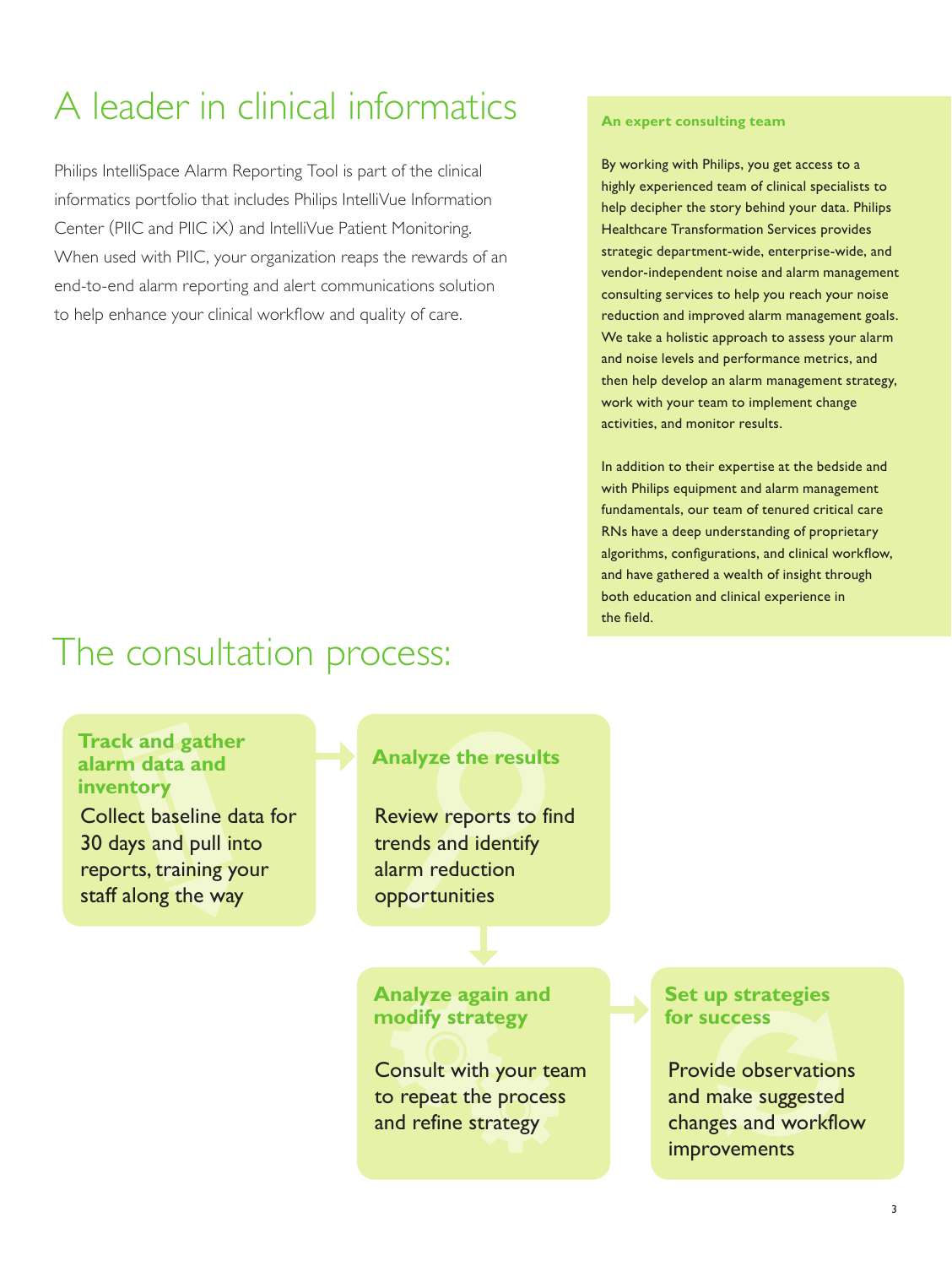## A leader in clinical informatics

Philips IntelliSpace Alarm Reporting Tool is part of the clinical informatics portfolio that includes Philips IntelliVue Information Center (PIIC and PIIC iX) and IntelliVue Patient Monitoring. When used with PIIC, your organization reaps the rewards of an end-to-end alarm reporting and alert communications solution to help enhance your clinical workflow and quality of care.

### **An expert consulting team**

By working with Philips, you get access to a highly experienced team of clinical specialists to help decipher the story behind your data. Philips Healthcare Transformation Services provides strategic department-wide, enterprise-wide, and vendor-independent noise and alarm management consulting services to help you reach your noise reduction and improved alarm management goals. We take a holistic approach to assess your alarm and noise levels and performance metrics, and then help develop an alarm management strategy, work with your team to implement change activities, and monitor results.

In addition to their expertise at the bedside and with Philips equipment and alarm management fundamentals, our team of tenured critical care RNs have a deep understanding of proprietary algorithms, configurations, and clinical workflow, and have gathered a wealth of insight through both education and clinical experience in the field.

## The consultation process:

## **Track and gather alarm data and inventory**

Collect baseline data for 30 days and pull into reports, training your staff along the way

## **Analyze the results**

Review reports to find trends and identify alarm reduction opportunities

**Analyze again and modify strategy**

Consult with your team to repeat the process and refine strategy

## **Set up strategies for success**

Provide observations and make suggested changes and workflow improvements